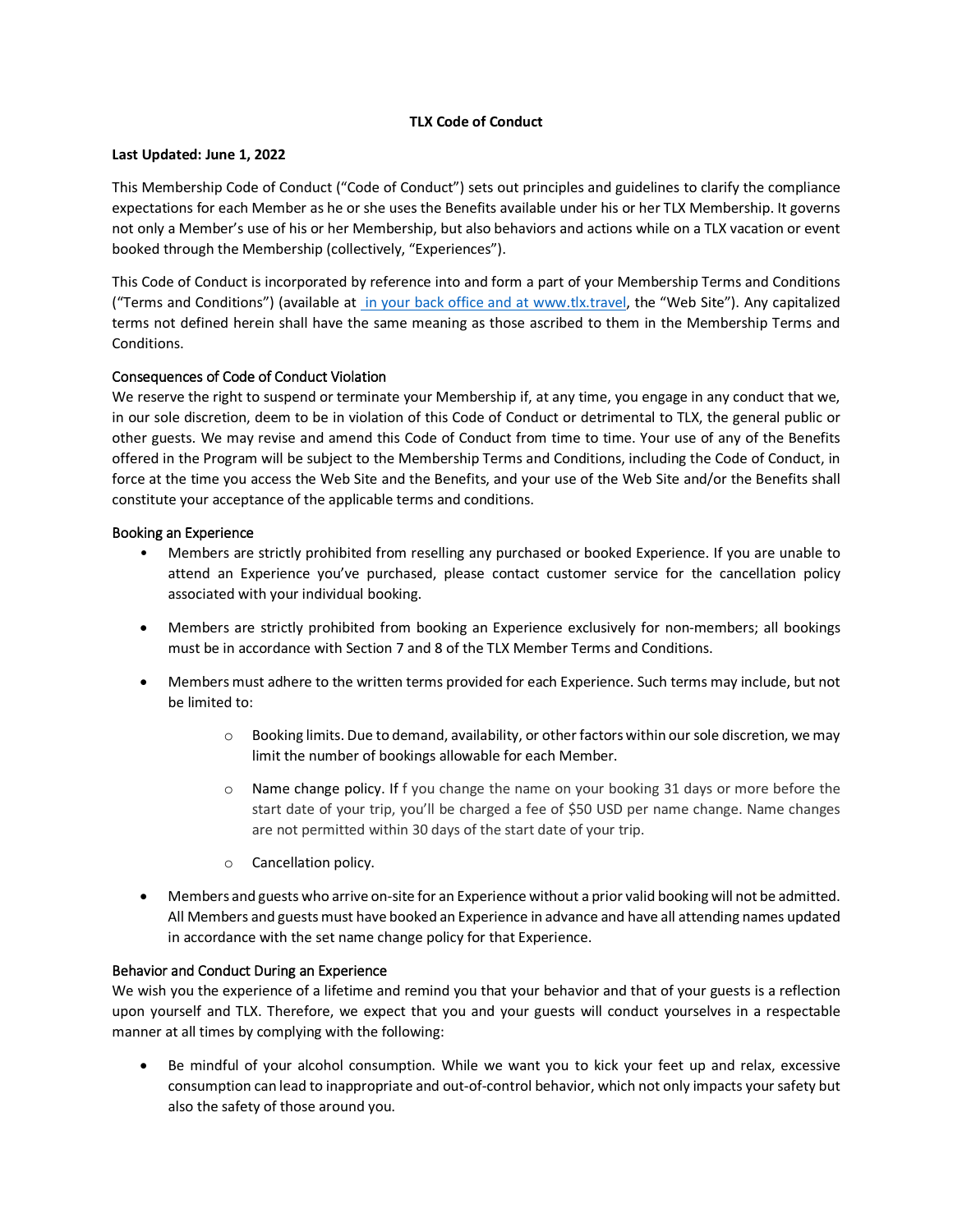## **TLX Code of Conduct**

## **Last Updated: June 1, 2022**

This Membership Code of Conduct ("Code of Conduct") sets out principles and guidelines to clarify the compliance expectations for each Member as he or she uses the Benefits available under his or her TLX Membership. It governs not only a Member's use of his or her Membership, but also behaviors and actions while on a TLX vacation or event booked through the Membership (collectively, "Experiences").

This Code of Conduct is incorporated by reference into and form a part of your Membership Terms and Conditions ("Terms and Conditions") (available at in your back office and at www.tlx.travel, the "Web Site"). Any capitalized terms not defined herein shall have the same meaning as those ascribed to them in the Membership Terms and Conditions.

# Consequences of Code of Conduct Violation

We reserve the right to suspend or terminate your Membership if, at any time, you engage in any conduct that we, in our sole discretion, deem to be in violation of this Code of Conduct or detrimental to TLX, the general public or other guests. We may revise and amend this Code of Conduct from time to time. Your use of any of the Benefits offered in the Program will be subject to the Membership Terms and Conditions, including the Code of Conduct, in force at the time you access the Web Site and the Benefits, and your use of the Web Site and/or the Benefits shall constitute your acceptance of the applicable terms and conditions.

## Booking an Experience

- Members are strictly prohibited from reselling any purchased or booked Experience. If you are unable to attend an Experience you've purchased, please contact customer service for the cancellation policy associated with your individual booking.
- Members are strictly prohibited from booking an Experience exclusively for non-members; all bookings must be in accordance with Section 7 and 8 of the TLX Member Terms and Conditions.
- Members must adhere to the written terms provided for each Experience. Such terms may include, but not be limited to:
	- o Booking limits. Due to demand, availability, or other factors within our sole discretion, we may limit the number of bookings allowable for each Member.
	- o Name change policy. If f you change the name on your booking 31 days or more before the start date of your trip, you'll be charged a fee of \$50 USD per name change. Name changes are not permitted within 30 days of the start date of your trip.
	- o Cancellation policy.
- Members and guests who arrive on-site for an Experience without a prior valid booking will not be admitted. All Members and guests must have booked an Experience in advance and have all attending names updated in accordance with the set name change policy for that Experience.

## Behavior and Conduct During an Experience

We wish you the experience of a lifetime and remind you that your behavior and that of your guests is a reflection upon yourself and TLX. Therefore, we expect that you and your guests will conduct yourselves in a respectable manner at all times by complying with the following:

Be mindful of your alcohol consumption. While we want you to kick your feet up and relax, excessive consumption can lead to inappropriate and out-of-control behavior, which not only impacts your safety but also the safety of those around you.